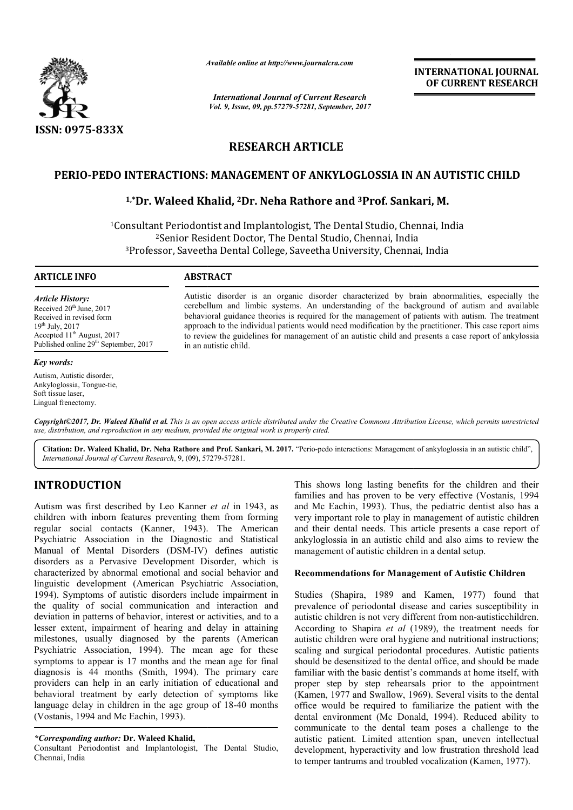

*Available online at http://www.journal http://www.journalcra.com*

*International Journal of Current Research Vol. 9, Issue, 09, pp.57279-57281, September, 2017* **INTERNATIONAL JOURNAL OF CURRENT RESEARCH** 

# **RESEARCH ARTICLE**

# **PERIO-PEDO INTERACTIONS: MANAGEMENT OF ANKYLOGLOSSIA IN AN AUTISTIC CHILD** PEDO INTERACTIONS: MANAGEMENT OF ANKYLOGLOSSIA IN AN AU<br><sup>1,</sup>\*Dr. Waleed Khalid, <sup>2</sup>Dr. Neha Rathore and <sup>3</sup>Prof. Sankari, M.

<sup>1</sup>Consultant Periodontist and Implantologist, The Dental Studio, Chennai, India <sup>2</sup>Senior Resident Doctor, The Dental Studio, Chennai, India nsultant Periodontist and Implantologist, The Dental Studio, Chennai, In<br><sup>2</sup>Senior Resident Doctor, The Dental Studio, Chennai, India<br><sup>3</sup>Professor, Saveetha Dental College, Saveetha University, Chennai, India

### **ARTICLE INFO ABSTRACT**

*Article History:* Received  $20<sup>th</sup>$  June, 2017 Received in revised form 19th July, 2017 Accepted 11<sup>th</sup> August, 2017 Published online 29<sup>th</sup> September, 2017

#### *Key words:*

Autism, Autistic disorder, Ankyloglossia, Tongue-tie, Soft tissue laser, Lingual frenectomy.

Autistic disorder is an organic disorder characterized by brain abnormalities, especially the cerebellum and limbic systems. An understanding of the background of autism and available behavioral guidance theories is required for the management of patients with autism. The treatment Autistic disorder is an organic disorder characterized by brain abnormalities, especially the cerebellum and limbic systems. An understanding of the background of autism and available behavioral guidance theories is requir to review the guidelines for management of an autistic child and presents a case report of ankylossia in an autistic child.

*Copyright©2017, Dr. Waleed Khalid et al. This is an open access article distributed under the Creative Commons Att Attribution License, which ribution permits unrestricted use, distribution, and reproduction in any medium, provided the original work is properly cited.*

Citation: Dr. Waleed Khalid, Dr. Neha Rathore and Prof. Sankari, M. 2017. "Perio-pedo interactions: Management of ankyloglossia in an autistic child", *International Journal of Current Research*, 9, (09), 572 57279-57281.

# **INTRODUCTION**

Autism was first described by Leo Kanner *et al* in 1943, as children with inborn features preventing them from form forming regular social contacts (Kanner, 1943). . The American Psychiatric Association in the Diagnostic and Statistical Manual of Mental Disorders (DSM-IV) defines autistic disorders as a Pervasive Development Disorder, which is characterized by abnormal emotional and social behavior and Manual of Mental Disorders (DSM-IV) defines autistic<br>disorders as a Pervasive Development Disorder, which is<br>characterized by abnormal emotional and social behavior and<br>linguistic development (American Psychiatric Associat 1994). Symptoms of autistic disorders include impairment in the quality of social communication and interaction and deviation in patterns of behavior, interest or activities, and to a lesser extent, impairment of hearing and delay in attaining milestones, usually diagnosed by the parents (American Psychiatric Association, 1994). The mean age for these symptoms to appear is 17 months and the mean age for final diagnosis is 44 months (Smith, 1994). The primary care providers can help in an early initiation of educational and behavioral treatment by early detection of symptoms like providers can help in an early initiation of educational and<br>behavioral treatment by early detection of symptoms like<br>language delay in children in the age group of 18-40 months (Vostanis, 1994 and Mc Eachin, 1993).

## *\*Corresponding author:* **Dr. Waleed Khalid,**

Consultant Periodontist and Implantologist, The Dental Studio, Chennai, India

This shows long lasting benefits for the children and their This shows long lasting benefits for the children and their families and has proven to be very effective (Vostanis, 1994) and Mc Eachin, 1993). Thus, the pediatric dentist also has a very important role to play in management of autistic children and their dental needs. This article presents a case report of ankyloglossia in an autistic child and also aims to review the management of autistic children in a dental setup. ble to play in management of autistic child<br>needs. This article presents a case report<br>an autistic child and also aims to review

# **Recommendations for Management of Autistic Children**

Studies (Shapira, 1989 and Kamen, 1977) found that prevalence of periodontal disease and caries susceptibility in prevalence of periodontal disease and caries susceptibility in autistic children is not very different from non-autisticchildren. According to Shapira et al (1989), the treatment needs for autistic children were oral hygiene and nutritional instructions; autistic children were oral hygiene and nutritional instructions;<br>scaling and surgical periodontal procedures. Autistic patients should be desensitized to the dental office, and should be made familiar with the basic dentist's commands at home itself, with proper step by step rehearsals prior to the appointment should be desensitized to the dental office, and should be made<br>familiar with the basic dentist's commands at home itself, with<br>proper step by step rehearsals prior to the appointment<br>(Kamen, 1977 and Swallow, 1969). Sever office would be required to familiarize the patient with the office would be required to familiarize the patient with the dental environment (Mc Donald, 1994). Reduced ability to communicate to the dental team poses a challenge to the autistic patient. Limited attention span, uneven intellectual development, hyperactivity and low frustration threshold lead to temper tantrums and troubled vocalization (Kamen, 1977). to the dental team poses a challenge to the t. Limited attention span, uneven intellectu<br>hyperactivity and low frustration threshold lea<br>ums and troubled vocalization (Kamen, 1977).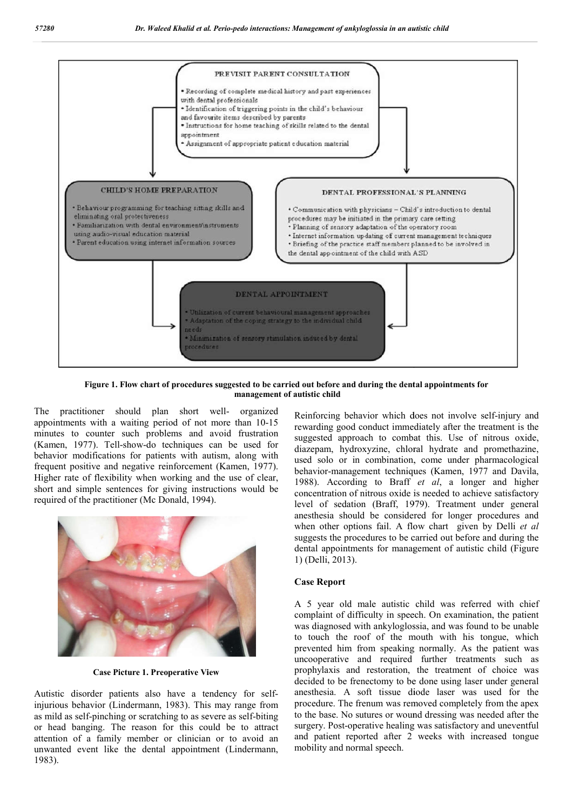

**Figure 1. Flow chart of procedures suggested to be carried out before and during the dental appointments for management of autistic child**

The practitioner should plan short well appointments with a waiting period of not more than 10 10-15 minutes to counter such problems and avoid frustration (Kamen, 1977). Tell-show-do techniques can be used for behavior modifications for patients with autism, along with frequent positive and negative reinforcement (Kamen, 1977). Higher rate of flexibility when working and the use of clear, short and simple sentences for giving instructions would be required of the practitioner (Mc Donald, 1994 organized do techniques can be used for<br>patients with autism, along with<br>ve reinforcement (Kamen, 1977). gher rate of flexibility when working and t<br>ort and simple sentences for giving instruc<br>quired of the practitioner (Mc Donald, 1994).



**Case Picture 1. Preoperative View**

Autistic disorder patients also have a tendency for self injurious behavior (Lindermann, 1983). This may range from injurious behavior (Lindermann, 1983). This may range from<br>as mild as self-pinching or scratching to as severe as self-biting or head banging. The reason for this could be to attract attention of a family member or clinician or to avoid an unwanted event like the dental appointment (Lindermann, 1983).

Reinforcing behavior which does not involve self-injury and rewarding good conduct immediately after the treatment is the rewarding good conduct immediately after the treatment is the suggested approach to combat this. Use of nitrous oxide, diazepam, hydroxyzine, chloral hydrate and promethazine, used solo or in combination, come under pharmacological behavior-management techniques (Kamen, 1977 and Davila, 1988). According to Braff et al, a longer and higher concentration of nitrous oxide is needed to achieve satisfactory level of sedation (Braff, 1979). Treatment under general anesthesia should be considered for longer procedures and anesthesia should be considered for longer procedures and when other options fail. A flow chart given by Delli et al suggests the procedures to be carried out before and during the dental appointments for management of autistic child (Figure 1) (Delli, 2013). suggests the procedures to be carried out before and during the<br>dental appointments for management of autistic child (Figure<br>1) (Delli, 2013).<br>**Case Report**<br>A 5 year old male autistic child was referred with chief<br>complain

## **Case Report**

A 5 year old male autistic child was referred with chief was diagnosed with ankyloglossia, and was found to be unable to touch the roof of the mouth with with his tongue, which prevented him from speaking normally. As the patient was uncooperative and required further treatments such as prophylaxis and restoration, the treatment of choice was decided to be frenectomy to be done using laser under general anesthesia. A soft tissue diode laser was used for the procedure. The frenum was removed completely from the apex to the base. No sutures or wound dressing was n surgery. Post-operative healing was satisfactory and uneventful and patient reported after 2 weeks with increased tongue mobility and normal speech. normally. As the patient was<br>perative and required further treatments such as<br>ylaxis and restoration, the treatment of choice was<br>d to be frenectomy to be done using laser under general<br>esia. A soft tissue diode laser was